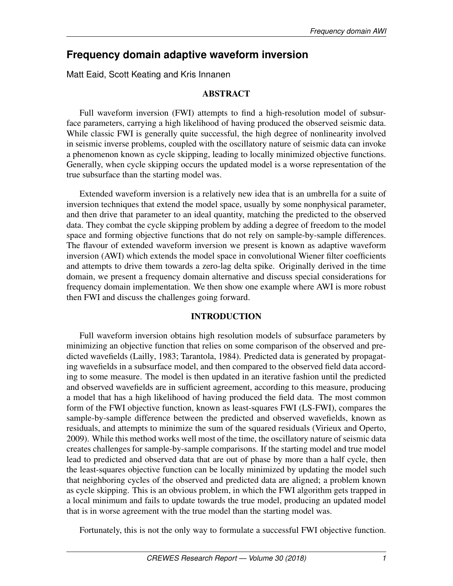# **Frequency domain adaptive waveform inversion**

Matt Eaid, Scott Keating and Kris Innanen

# ABSTRACT

Full waveform inversion (FWI) attempts to find a high-resolution model of subsurface parameters, carrying a high likelihood of having produced the observed seismic data. While classic FWI is generally quite successful, the high degree of nonlinearity involved in seismic inverse problems, coupled with the oscillatory nature of seismic data can invoke a phenomenon known as cycle skipping, leading to locally minimized objective functions. Generally, when cycle skipping occurs the updated model is a worse representation of the true subsurface than the starting model was.

Extended waveform inversion is a relatively new idea that is an umbrella for a suite of inversion techniques that extend the model space, usually by some nonphysical parameter, and then drive that parameter to an ideal quantity, matching the predicted to the observed data. They combat the cycle skipping problem by adding a degree of freedom to the model space and forming objective functions that do not rely on sample-by-sample differences. The flavour of extended waveform inversion we present is known as adaptive waveform inversion (AWI) which extends the model space in convolutional Wiener filter coefficients and attempts to drive them towards a zero-lag delta spike. Originally derived in the time domain, we present a frequency domain alternative and discuss special considerations for frequency domain implementation. We then show one example where AWI is more robust then FWI and discuss the challenges going forward.

# INTRODUCTION

Full waveform inversion obtains high resolution models of subsurface parameters by minimizing an objective function that relies on some comparison of the observed and predicted wavefields (Lailly, 1983; Tarantola, 1984). Predicted data is generated by propagating wavefields in a subsurface model, and then compared to the observed field data according to some measure. The model is then updated in an iterative fashion until the predicted and observed wavefields are in sufficient agreement, according to this measure, producing a model that has a high likelihood of having produced the field data. The most common form of the FWI objective function, known as least-squares FWI (LS-FWI), compares the sample-by-sample difference between the predicted and observed wavefields, known as residuals, and attempts to minimize the sum of the squared residuals (Virieux and Operto, 2009). While this method works well most of the time, the oscillatory nature of seismic data creates challenges for sample-by-sample comparisons. If the starting model and true model lead to predicted and observed data that are out of phase by more than a half cycle, then the least-squares objective function can be locally minimized by updating the model such that neighboring cycles of the observed and predicted data are aligned; a problem known as cycle skipping. This is an obvious problem, in which the FWI algorithm gets trapped in a local minimum and fails to update towards the true model, producing an updated model that is in worse agreement with the true model than the starting model was.

Fortunately, this is not the only way to formulate a successful FWI objective function.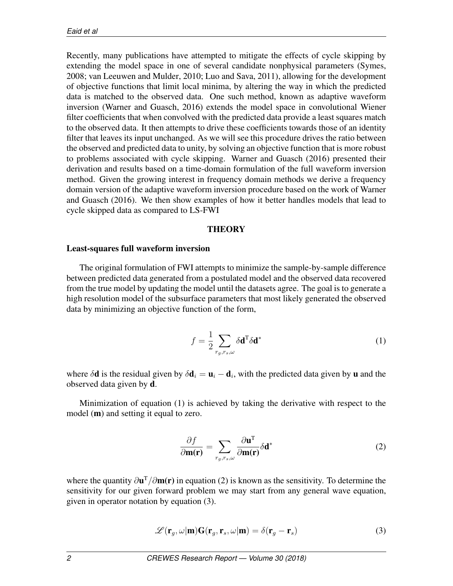Recently, many publications have attempted to mitigate the effects of cycle skipping by extending the model space in one of several candidate nonphysical parameters (Symes, 2008; van Leeuwen and Mulder, 2010; Luo and Sava, 2011), allowing for the development of objective functions that limit local minima, by altering the way in which the predicted data is matched to the observed data. One such method, known as adaptive waveform inversion (Warner and Guasch, 2016) extends the model space in convolutional Wiener filter coefficients that when convolved with the predicted data provide a least squares match to the observed data. It then attempts to drive these coefficients towards those of an identity filter that leaves its input unchanged. As we will see this procedure drives the ratio between the observed and predicted data to unity, by solving an objective function that is more robust to problems associated with cycle skipping. Warner and Guasch (2016) presented their derivation and results based on a time-domain formulation of the full waveform inversion method. Given the growing interest in frequency domain methods we derive a frequency domain version of the adaptive waveform inversion procedure based on the work of Warner and Guasch (2016). We then show examples of how it better handles models that lead to cycle skipped data as compared to LS-FWI

#### **THEORY**

#### Least-squares full waveform inversion

The original formulation of FWI attempts to minimize the sample-by-sample difference between predicted data generated from a postulated model and the observed data recovered from the true model by updating the model until the datasets agree. The goal is to generate a high resolution model of the subsurface parameters that most likely generated the observed data by minimizing an objective function of the form,

$$
f = \frac{1}{2} \sum_{r_g, r_s, \omega} \delta \mathbf{d}^{\mathrm{T}} \delta \mathbf{d}^*
$$
 (1)

where  $\delta \mathbf{d}$  is the residual given by  $\delta \mathbf{d}_i = \mathbf{u}_i - \mathbf{d}_i$ , with the predicted data given by **u** and the observed data given by d.

Minimization of equation (1) is achieved by taking the derivative with respect to the model (m) and setting it equal to zero.

$$
\frac{\partial f}{\partial \mathbf{m}(\mathbf{r})} = \sum_{r_g, r_s, \omega} \frac{\partial \mathbf{u}^{\mathrm{T}}}{\partial \mathbf{m}(\mathbf{r})} \delta \mathbf{d}^*
$$
(2)

where the quantity *∂*u <sup>T</sup>*/∂*m(r) in equation (2) is known as the sensitivity. To determine the sensitivity for our given forward problem we may start from any general wave equation, given in operator notation by equation (3).

$$
\mathcal{L}(\mathbf{r}_g, \omega | \mathbf{m}) \mathbf{G}(\mathbf{r}_g, \mathbf{r}_s, \omega | \mathbf{m}) = \delta(\mathbf{r}_g - \mathbf{r}_s)
$$
(3)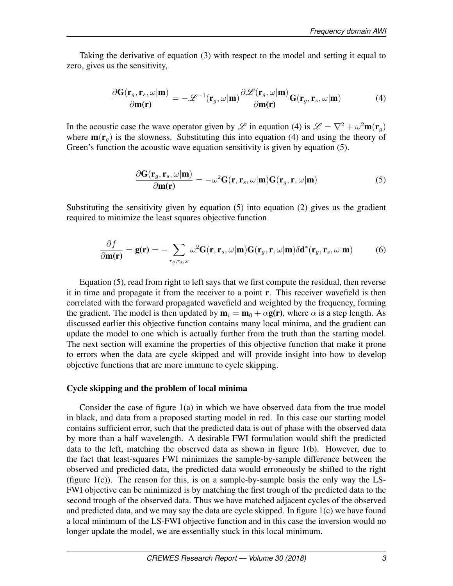Taking the derivative of equation (3) with respect to the model and setting it equal to zero, gives us the sensitivity,

$$
\frac{\partial \mathbf{G}(\mathbf{r}_g, \mathbf{r}_s, \omega | \mathbf{m})}{\partial \mathbf{m}(\mathbf{r})} = -\mathscr{L}^{-1}(\mathbf{r}_g, \omega | \mathbf{m}) \frac{\partial \mathscr{L}(\mathbf{r}_g, \omega | \mathbf{m})}{\partial \mathbf{m}(\mathbf{r})} \mathbf{G}(\mathbf{r}_g, \mathbf{r}_s, \omega | \mathbf{m})
$$
(4)

In the acoustic case the wave operator given by *L* in equation (4) is  $\mathcal{L} = \nabla^2 + \omega^2 \mathbf{m}(\mathbf{r}_g)$ where  $\mathbf{m}(\mathbf{r}_q)$  is the slowness. Substituting this into equation (4) and using the theory of Green's function the acoustic wave equation sensitivity is given by equation (5).

$$
\frac{\partial \mathbf{G}(\mathbf{r}_g, \mathbf{r}_s, \omega | \mathbf{m})}{\partial \mathbf{m}(\mathbf{r})} = -\omega^2 \mathbf{G}(\mathbf{r}, \mathbf{r}_s, \omega | \mathbf{m}) \mathbf{G}(\mathbf{r}_g, \mathbf{r}, \omega | \mathbf{m}) \tag{5}
$$

Substituting the sensitivity given by equation (5) into equation (2) gives us the gradient required to minimize the least squares objective function

$$
\frac{\partial f}{\partial \mathbf{m}(\mathbf{r})} = \mathbf{g}(\mathbf{r}) = -\sum_{r_g, r_s, \omega} \omega^2 \mathbf{G}(\mathbf{r}, \mathbf{r}_s, \omega | \mathbf{m}) \mathbf{G}(\mathbf{r}_g, \mathbf{r}, \omega | \mathbf{m}) \delta \mathbf{d}^*(\mathbf{r}_g, \mathbf{r}_s, \omega | \mathbf{m}) \tag{6}
$$

Equation (5), read from right to left says that we first compute the residual, then reverse it in time and propagate it from the receiver to a point r. This receiver wavefield is then correlated with the forward propagated wavefield and weighted by the frequency, forming the gradient. The model is then updated by  $\mathbf{m}_i = \mathbf{m}_0 + \alpha \mathbf{g}(\mathbf{r})$ , where  $\alpha$  is a step length. As discussed earlier this objective function contains many local minima, and the gradient can update the model to one which is actually further from the truth than the starting model. The next section will examine the properties of this objective function that make it prone to errors when the data are cycle skipped and will provide insight into how to develop objective functions that are more immune to cycle skipping.

#### Cycle skipping and the problem of local minima

Consider the case of figure 1(a) in which we have observed data from the true model in black, and data from a proposed starting model in red. In this case our starting model contains sufficient error, such that the predicted data is out of phase with the observed data by more than a half wavelength. A desirable FWI formulation would shift the predicted data to the left, matching the observed data as shown in figure 1(b). However, due to the fact that least-squares FWI minimizes the sample-by-sample difference between the observed and predicted data, the predicted data would erroneously be shifted to the right (figure 1(c)). The reason for this, is on a sample-by-sample basis the only way the LS-FWI objective can be minimized is by matching the first trough of the predicted data to the second trough of the observed data. Thus we have matched adjacent cycles of the observed and predicted data, and we may say the data are cycle skipped. In figure 1(c) we have found a local minimum of the LS-FWI objective function and in this case the inversion would no longer update the model, we are essentially stuck in this local minimum.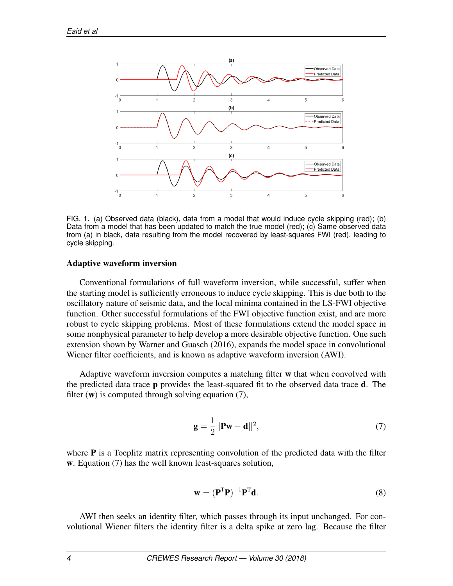

FIG. 1. (a) Observed data (black), data from a model that would induce cycle skipping (red); (b) Data from a model that has been updated to match the true model (red); (c) Same observed data from (a) in black, data resulting from the model recovered by least-squares FWI (red), leading to cycle skipping.

### Adaptive waveform inversion

Conventional formulations of full waveform inversion, while successful, suffer when the starting model is sufficiently erroneous to induce cycle skipping. This is due both to the oscillatory nature of seismic data, and the local minima contained in the LS-FWI objective function. Other successful formulations of the FWI objective function exist, and are more robust to cycle skipping problems. Most of these formulations extend the model space in some nonphysical parameter to help develop a more desirable objective function. One such extension shown by Warner and Guasch (2016), expands the model space in convolutional Wiener filter coefficients, and is known as adaptive waveform inversion (AWI).

Adaptive waveform inversion computes a matching filter w that when convolved with the predicted data trace  $\bf{p}$  provides the least-squared fit to the observed data trace  $\bf{d}$ . The filter  $(w)$  is computed through solving equation  $(7)$ ,

$$
\mathbf{g} = \frac{1}{2} ||\mathbf{P}\mathbf{w} - \mathbf{d}||^2, \tag{7}
$$

where  $P$  is a Toeplitz matrix representing convolution of the predicted data with the filter w. Equation (7) has the well known least-squares solution,

$$
\mathbf{w} = (\mathbf{P}^{\mathrm{T}} \mathbf{P})^{-1} \mathbf{P}^{\mathrm{T}} \mathbf{d}.
$$
 (8)

AWI then seeks an identity filter, which passes through its input unchanged. For convolutional Wiener filters the identity filter is a delta spike at zero lag. Because the filter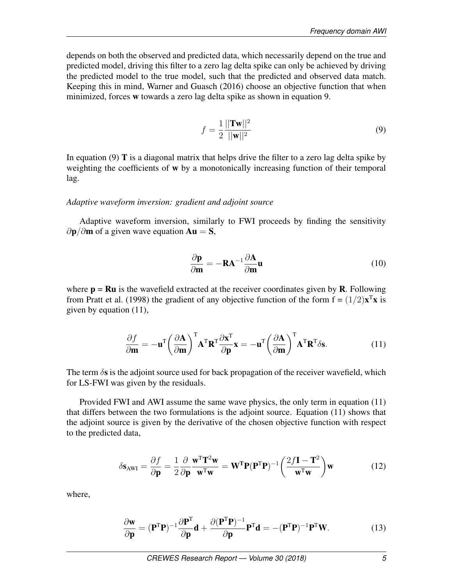depends on both the observed and predicted data, which necessarily depend on the true and predicted model, driving this filter to a zero lag delta spike can only be achieved by driving the predicted model to the true model, such that the predicted and observed data match. Keeping this in mind, Warner and Guasch (2016) choose an objective function that when minimized, forces w towards a zero lag delta spike as shown in equation 9.

$$
f = \frac{1}{2} \frac{||\mathbf{Tw}||^2}{||\mathbf{w}||^2}
$$
(9)

In equation  $(9)$  T is a diagonal matrix that helps drive the filter to a zero lag delta spike by weighting the coefficients of w by a monotonically increasing function of their temporal lag.

#### *Adaptive waveform inversion: gradient and adjoint source*

Adaptive waveform inversion, similarly to FWI proceeds by finding the sensitivity *∂***p**/∂**m** of a given wave equation **Au** = **S**,

$$
\frac{\partial \mathbf{p}}{\partial \mathbf{m}} = -\mathbf{R} \mathbf{A}^{-1} \frac{\partial \mathbf{A}}{\partial \mathbf{m}} \mathbf{u}
$$
 (10)

where  $p = Ru$  is the wavefield extracted at the receiver coordinates given by R. Following from Pratt et al. (1998) the gradient of any objective function of the form  $f = (1/2)x^T x$  is given by equation (11),

$$
\frac{\partial f}{\partial \mathbf{m}} = -\mathbf{u}^{\mathrm{T}} \left( \frac{\partial \mathbf{A}}{\partial \mathbf{m}} \right)^{\mathrm{T}} \mathbf{A}^{\mathrm{T}} \mathbf{R}^{\mathrm{T}} \frac{\partial \mathbf{x}^{\mathrm{T}}}{\partial \mathbf{p}} \mathbf{x} = -\mathbf{u}^{\mathrm{T}} \left( \frac{\partial \mathbf{A}}{\partial \mathbf{m}} \right)^{\mathrm{T}} \mathbf{A}^{\mathrm{T}} \mathbf{R}^{\mathrm{T}} \delta \mathbf{s}.
$$
 (11)

The term *δ*s is the adjoint source used for back propagation of the receiver wavefield, which for LS-FWI was given by the residuals.

Provided FWI and AWI assume the same wave physics, the only term in equation (11) that differs between the two formulations is the adjoint source. Equation (11) shows that the adjoint source is given by the derivative of the chosen objective function with respect to the predicted data,

$$
\delta \mathbf{s}_{\text{AWI}} = \frac{\partial f}{\partial \mathbf{p}} = \frac{1}{2} \frac{\partial}{\partial \mathbf{p}} \frac{\mathbf{w}^{\text{T}} \mathbf{T}^2 \mathbf{w}}{\mathbf{w}^{\text{T}} \mathbf{w}} = \mathbf{W}^{\text{T}} \mathbf{P} (\mathbf{P}^{\text{T}} \mathbf{P})^{-1} \left( \frac{2f \mathbf{I} - \mathbf{T}^2}{\mathbf{w}^{\text{T}} \mathbf{w}} \right) \mathbf{w}
$$
(12)

where,

$$
\frac{\partial \mathbf{w}}{\partial \mathbf{p}} = (\mathbf{P}^{\mathrm{T}} \mathbf{P})^{-1} \frac{\partial \mathbf{P}^{\mathrm{T}}}{\partial \mathbf{p}} \mathbf{d} + \frac{\partial (\mathbf{P}^{\mathrm{T}} \mathbf{P})^{-1}}{\partial \mathbf{p}} \mathbf{P}^{\mathrm{T}} \mathbf{d} = -(\mathbf{P}^{\mathrm{T}} \mathbf{P})^{-1} \mathbf{P}^{\mathrm{T}} \mathbf{W}.
$$
 (13)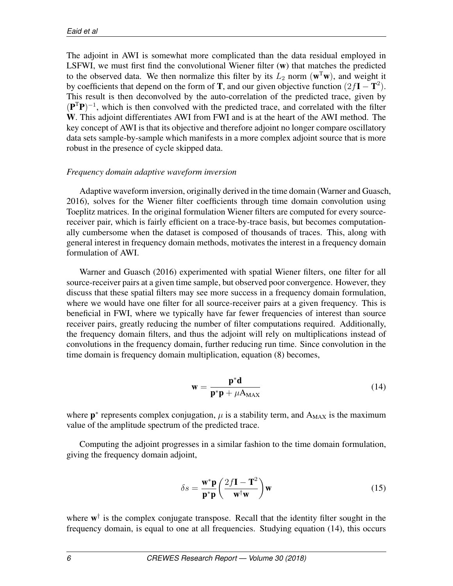The adjoint in AWI is somewhat more complicated than the data residual employed in LSFWI, we must first find the convolutional Wiener filter  $(w)$  that matches the predicted to the observed data. We then normalize this filter by its  $L_2$  norm  $(\mathbf{w}^T \mathbf{w})$ , and weight it by coefficients that depend on the form of **T**, and our given objective function  $(2fI – T^2)$ . This result is then deconvolved by the auto-correlation of the predicted trace, given by ( ${\bf P}^T{\bf P}$ )<sup>-1</sup>, which is then convolved with the predicted trace, and correlated with the filter W. This adjoint differentiates AWI from FWI and is at the heart of the AWI method. The key concept of AWI is that its objective and therefore adjoint no longer compare oscillatory data sets sample-by-sample which manifests in a more complex adjoint source that is more robust in the presence of cycle skipped data.

# *Frequency domain adaptive waveform inversion*

Adaptive waveform inversion, originally derived in the time domain (Warner and Guasch, 2016), solves for the Wiener filter coefficients through time domain convolution using Toeplitz matrices. In the original formulation Wiener filters are computed for every sourcereceiver pair, which is fairly efficient on a trace-by-trace basis, but becomes computationally cumbersome when the dataset is composed of thousands of traces. This, along with general interest in frequency domain methods, motivates the interest in a frequency domain formulation of AWI.

Warner and Guasch (2016) experimented with spatial Wiener filters, one filter for all source-receiver pairs at a given time sample, but observed poor convergence. However, they discuss that these spatial filters may see more success in a frequency domain formulation, where we would have one filter for all source-receiver pairs at a given frequency. This is beneficial in FWI, where we typically have far fewer frequencies of interest than source receiver pairs, greatly reducing the number of filter computations required. Additionally, the frequency domain filters, and thus the adjoint will rely on multiplications instead of convolutions in the frequency domain, further reducing run time. Since convolution in the time domain is frequency domain multiplication, equation (8) becomes,

$$
\mathbf{w} = \frac{\mathbf{p}^* \mathbf{d}}{\mathbf{p}^* \mathbf{p} + \mu \mathbf{A}_{\text{MAX}}} \tag{14}
$$

where  $\mathbf{p}^*$  represents complex conjugation,  $\mu$  is a stability term, and  $A_{MAX}$  is the maximum value of the amplitude spectrum of the predicted trace.

Computing the adjoint progresses in a similar fashion to the time domain formulation, giving the frequency domain adjoint,

$$
\delta s = \frac{\mathbf{w}^* \mathbf{p}}{\mathbf{p}^* \mathbf{p}} \left( \frac{2f \mathbf{I} - \mathbf{T}^2}{\mathbf{w}^{\dagger} \mathbf{w}} \right) \mathbf{w}
$$
(15)

where  $w^{\dagger}$  is the complex conjugate transpose. Recall that the identity filter sought in the frequency domain, is equal to one at all frequencies. Studying equation (14), this occurs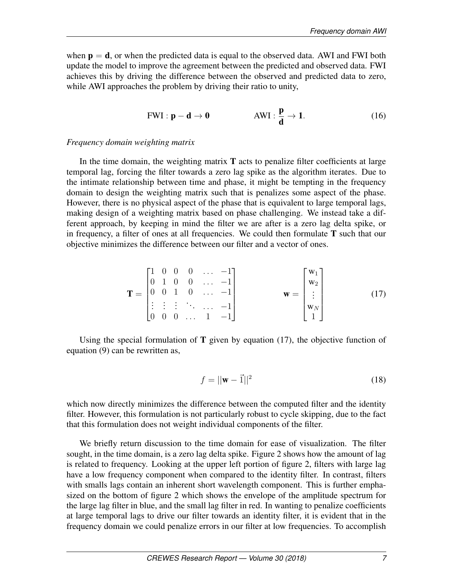when  $p = d$ , or when the predicted data is equal to the observed data. AWI and FWI both update the model to improve the agreement between the predicted and observed data. FWI achieves this by driving the difference between the observed and predicted data to zero, while AWI approaches the problem by driving their ratio to unity,

$$
FWI: \mathbf{p} - \mathbf{d} \to \mathbf{0} \qquad \qquad \text{AWI}: \frac{\mathbf{p}}{\mathbf{d}} \to \mathbf{1}.\tag{16}
$$

### *Frequency domain weighting matrix*

In the time domain, the weighting matrix  $T$  acts to penalize filter coefficients at large temporal lag, forcing the filter towards a zero lag spike as the algorithm iterates. Due to the intimate relationship between time and phase, it might be tempting in the frequency domain to design the weighting matrix such that is penalizes some aspect of the phase. However, there is no physical aspect of the phase that is equivalent to large temporal lags, making design of a weighting matrix based on phase challenging. We instead take a different approach, by keeping in mind the filter we are after is a zero lag delta spike, or in frequency, a filter of ones at all frequencies. We could then formulate  $T$  such that our objective minimizes the difference between our filter and a vector of ones.

$$
\mathbf{T} = \begin{bmatrix} 1 & 0 & 0 & 0 & \dots & -1 \\ 0 & 1 & 0 & 0 & \dots & -1 \\ 0 & 0 & 1 & 0 & \dots & -1 \\ \vdots & \vdots & \vdots & \ddots & \dots & -1 \\ 0 & 0 & 0 & \dots & 1 & -1 \end{bmatrix} \qquad \mathbf{w} = \begin{bmatrix} \mathbf{w}_1 \\ \mathbf{w}_2 \\ \vdots \\ \mathbf{w}_N \\ 1 \end{bmatrix}
$$
(17)

Using the special formulation of  $T$  given by equation (17), the objective function of equation (9) can be rewritten as,

$$
f = ||\mathbf{w} - \vec{1}||^2 \tag{18}
$$

which now directly minimizes the difference between the computed filter and the identity filter. However, this formulation is not particularly robust to cycle skipping, due to the fact that this formulation does not weight individual components of the filter.

We briefly return discussion to the time domain for ease of visualization. The filter sought, in the time domain, is a zero lag delta spike. Figure 2 shows how the amount of lag is related to frequency. Looking at the upper left portion of figure 2, filters with large lag have a low frequency component when compared to the identity filter. In contrast, filters with smalls lags contain an inherent short wavelength component. This is further emphasized on the bottom of figure 2 which shows the envelope of the amplitude spectrum for the large lag filter in blue, and the small lag filter in red. In wanting to penalize coefficients at large temporal lags to drive our filter towards an identity filter, it is evident that in the frequency domain we could penalize errors in our filter at low frequencies. To accomplish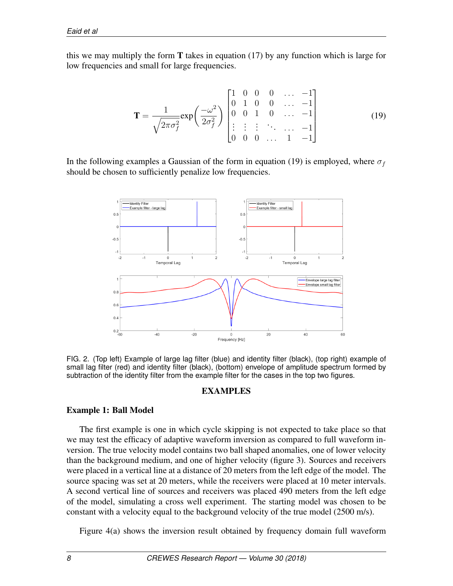this we may multiply the form  $T$  takes in equation (17) by any function which is large for low frequencies and small for large frequencies.

$$
\mathbf{T} = \frac{1}{\sqrt{2\pi\sigma_f^2}} \exp\left(\frac{-\omega^2}{2\sigma_f^2}\right) \begin{bmatrix} 1 & 0 & 0 & 0 & \dots & -1 \\ 0 & 1 & 0 & 0 & \dots & -1 \\ 0 & 0 & 1 & 0 & \dots & -1 \\ \vdots & \vdots & \vdots & \ddots & \dots & -1 \\ 0 & 0 & 0 & \dots & 1 & -1 \end{bmatrix}
$$
(19)

In the following examples a Gaussian of the form in equation (19) is employed, where  $\sigma_f$ should be chosen to sufficiently penalize low frequencies.



FIG. 2. (Top left) Example of large lag filter (blue) and identity filter (black), (top right) example of small lag filter (red) and identity filter (black), (bottom) envelope of amplitude spectrum formed by subtraction of the identity filter from the example filter for the cases in the top two figures.

# EXAMPLES

# Example 1: Ball Model

The first example is one in which cycle skipping is not expected to take place so that we may test the efficacy of adaptive waveform inversion as compared to full waveform inversion. The true velocity model contains two ball shaped anomalies, one of lower velocity than the background medium, and one of higher velocity (figure 3). Sources and receivers were placed in a vertical line at a distance of 20 meters from the left edge of the model. The source spacing was set at 20 meters, while the receivers were placed at 10 meter intervals. A second vertical line of sources and receivers was placed 490 meters from the left edge of the model, simulating a cross well experiment. The starting model was chosen to be constant with a velocity equal to the background velocity of the true model (2500 m/s).

Figure 4(a) shows the inversion result obtained by frequency domain full waveform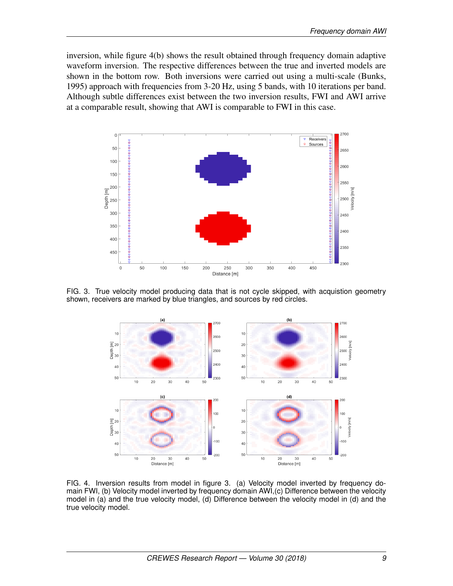inversion, while figure 4(b) shows the result obtained through frequency domain adaptive waveform inversion. The respective differences between the true and inverted models are shown in the bottom row. Both inversions were carried out using a multi-scale (Bunks, 1995) approach with frequencies from 3-20 Hz, using 5 bands, with 10 iterations per band. Although subtle differences exist between the two inversion results, FWI and AWI arrive at a comparable result, showing that AWI is comparable to FWI in this case.



FIG. 3. True velocity model producing data that is not cycle skipped, with acquistion geometry shown, receivers are marked by blue triangles, and sources by red circles.



FIG. 4. Inversion results from model in figure 3. (a) Velocity model inverted by frequency domain FWI, (b) Velocity model inverted by frequency domain AWI,(c) Difference between the velocity model in (a) and the true velocity model, (d) Difference between the velocity model in (d) and the true velocity model.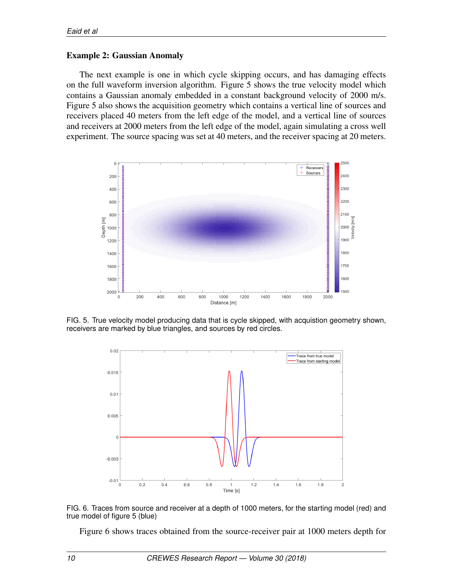## Example 2: Gaussian Anomaly

The next example is one in which cycle skipping occurs, and has damaging effects on the full waveform inversion algorithm. Figure 5 shows the true velocity model which contains a Gaussian anomaly embedded in a constant background velocity of 2000 m/s. Figure 5 also shows the acquisition geometry which contains a vertical line of sources and receivers placed 40 meters from the left edge of the model, and a vertical line of sources and receivers at 2000 meters from the left edge of the model, again simulating a cross well experiment. The source spacing was set at 40 meters, and the receiver spacing at 20 meters.



FIG. 5. True velocity model producing data that is cycle skipped, with acquistion geometry shown, receivers are marked by blue triangles, and sources by red circles.



FIG. 6. Traces from source and receiver at a depth of 1000 meters, for the starting model (red) and true model of figure 5 (blue)

Figure 6 shows traces obtained from the source-receiver pair at 1000 meters depth for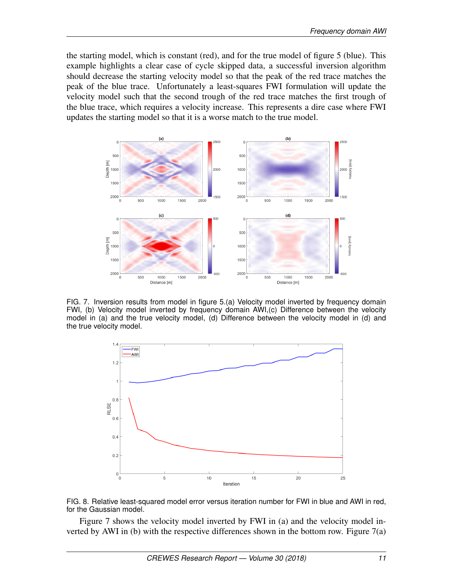the starting model, which is constant (red), and for the true model of figure 5 (blue). This example highlights a clear case of cycle skipped data, a successful inversion algorithm should decrease the starting velocity model so that the peak of the red trace matches the peak of the blue trace. Unfortunately a least-squares FWI formulation will update the velocity model such that the second trough of the red trace matches the first trough of the blue trace, which requires a velocity increase. This represents a dire case where FWI updates the starting model so that it is a worse match to the true model.



FIG. 7. Inversion results from model in figure 5.(a) Velocity model inverted by frequency domain FWI, (b) Velocity model inverted by frequency domain AWI,(c) Difference between the velocity model in (a) and the true velocity model, (d) Difference between the velocity model in (d) and the true velocity model.





Figure 7 shows the velocity model inverted by FWI in (a) and the velocity model inverted by AWI in (b) with the respective differences shown in the bottom row. Figure  $7(a)$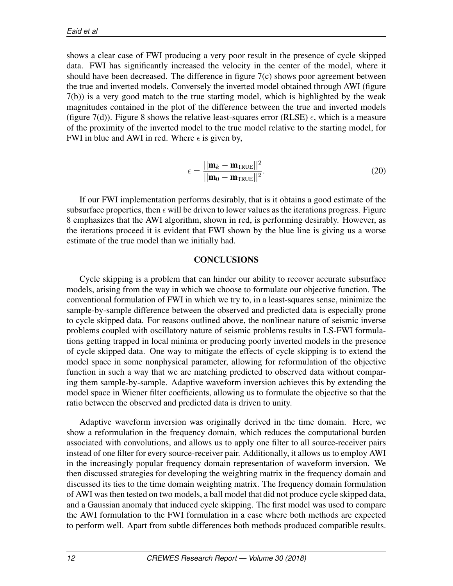shows a clear case of FWI producing a very poor result in the presence of cycle skipped data. FWI has significantly increased the velocity in the center of the model, where it should have been decreased. The difference in figure  $7(c)$  shows poor agreement between the true and inverted models. Conversely the inverted model obtained through AWI (figure 7(b)) is a very good match to the true starting model, which is highlighted by the weak magnitudes contained in the plot of the difference between the true and inverted models (figure 7(d)). Figure 8 shows the relative least-squares error (RLSE)  $\epsilon$ , which is a measure of the proximity of the inverted model to the true model relative to the starting model, for FWI in blue and AWI in red. Where  $\epsilon$  is given by,

$$
\epsilon = \frac{||\mathbf{m}_k - \mathbf{m}_{\text{TRUE}}||^2}{||\mathbf{m}_0 - \mathbf{m}_{\text{TRUE}}||^2}.
$$
\n(20)

If our FWI implementation performs desirably, that is it obtains a good estimate of the subsurface properties, then  $\epsilon$  will be driven to lower values as the iterations progress. Figure 8 emphasizes that the AWI algorithm, shown in red, is performing desirably. However, as the iterations proceed it is evident that FWI shown by the blue line is giving us a worse estimate of the true model than we initially had.

## **CONCLUSIONS**

Cycle skipping is a problem that can hinder our ability to recover accurate subsurface models, arising from the way in which we choose to formulate our objective function. The conventional formulation of FWI in which we try to, in a least-squares sense, minimize the sample-by-sample difference between the observed and predicted data is especially prone to cycle skipped data. For reasons outlined above, the nonlinear nature of seismic inverse problems coupled with oscillatory nature of seismic problems results in LS-FWI formulations getting trapped in local minima or producing poorly inverted models in the presence of cycle skipped data. One way to mitigate the effects of cycle skipping is to extend the model space in some nonphysical parameter, allowing for reformulation of the objective function in such a way that we are matching predicted to observed data without comparing them sample-by-sample. Adaptive waveform inversion achieves this by extending the model space in Wiener filter coefficients, allowing us to formulate the objective so that the ratio between the observed and predicted data is driven to unity.

Adaptive waveform inversion was originally derived in the time domain. Here, we show a reformulation in the frequency domain, which reduces the computational burden associated with convolutions, and allows us to apply one filter to all source-receiver pairs instead of one filter for every source-receiver pair. Additionally, it allows us to employ AWI in the increasingly popular frequency domain representation of waveform inversion. We then discussed strategies for developing the weighting matrix in the frequency domain and discussed its ties to the time domain weighting matrix. The frequency domain formulation of AWI was then tested on two models, a ball model that did not produce cycle skipped data, and a Gaussian anomaly that induced cycle skipping. The first model was used to compare the AWI formulation to the FWI formulation in a case where both methods are expected to perform well. Apart from subtle differences both methods produced compatible results.